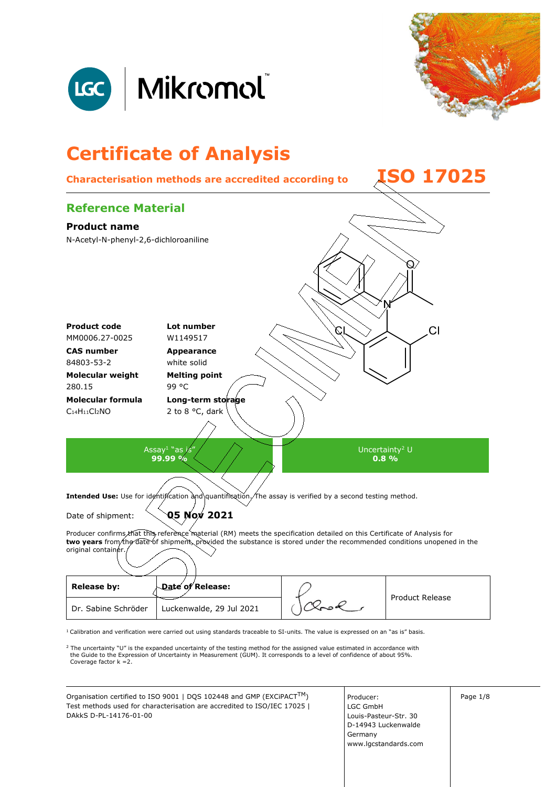



# **Certificate of Analysis**



 $1$  Calibration and verification were carried out using standards traceable to SI-units. The value is expressed on an "as is" basis.

<sup>2</sup> The uncertainty "U" is the expanded uncertainty of the testing method for the assigned value estimated in accordance with<br>the Guide to the Expression of Uncertainty in Measurement (GUM). It corresponds to a level of co Coverage factor k =2.

Organisation certified to ISO 9001 | DQS 102448 and GMP (EXCiPACT<sup>TM</sup>) | Producer: | | Page 1/8 Test methods used for characterisation are accredited to ISO/IEC 17025 | DAkkS D-PL-14176-01-00

Producer: LGC GmbH Louis-Pasteur-Str. 30 D-14943 Luckenwalde Germany www.lgcstandards.com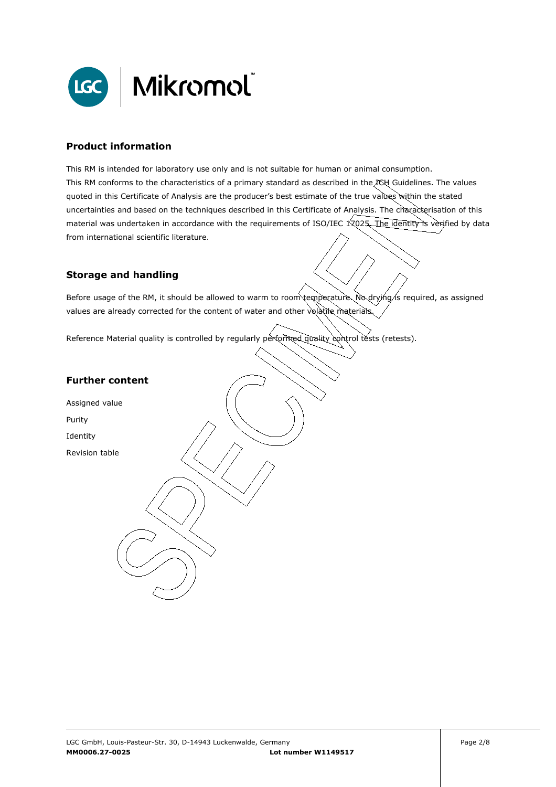

#### **Product information**

This RM is intended for laboratory use only and is not suitable for human or animal consumption. This RM conforms to the characteristics of a primary standard as described in the ICH Guidelines. The values quoted in this Certificate of Analysis are the producer's best estimate of the true values within the stated uncertainties and based on the techniques described in this Certificate of Analysis. The characterisation of this material was undertaken in accordance with the requirements of ISO/IEC 17025. The identity is verified by data from international scientific literature.

#### **Storage and handling**

Before usage of the RM, it should be allowed to warm to room temperature. No drying/is required, as assigned values are already corrected for the content of water and other volatile materials

Reference Material quality is controlled by regularly performed quality control tests (retests).

#### **Further content**

Assigned value

Purity

Identity

Revision table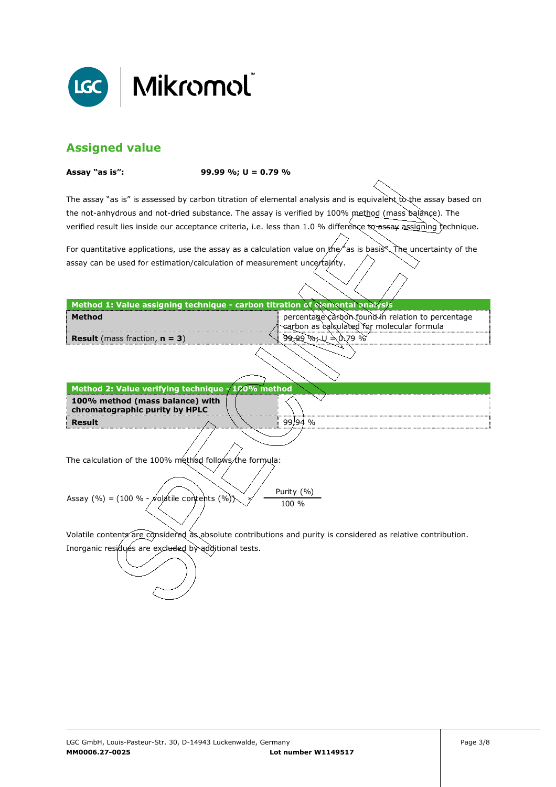

## **Assigned value**

**Assay "as is": 99.99 %; U = 0.79 %** 

The assay "as is" is assessed by carbon titration of elemental analysis and is equivalent to the assay based on the not-anhydrous and not-dried substance. The assay is verified by 100% method (mass balance). The verified result lies inside our acceptance criteria, i.e. less than 1.0 % difference to assay assigning technique.

For quantitative applications, use the assay as a calculation value on the  $\#$  as is basis". The uncertainty of the assay can be used for estimation/calculation of measurement uncertainty.

| Method 1: Value assigning technique - carbon titration of elemental analysis                                                                   |                                                                                                               |  |  |
|------------------------------------------------------------------------------------------------------------------------------------------------|---------------------------------------------------------------------------------------------------------------|--|--|
| <b>Method</b>                                                                                                                                  | percentage carbon found in relation to percentage<br>ન્દ્રarbon as calculated for molecular formula           |  |  |
| <b>Result</b> (mass fraction, $n = 3$ )                                                                                                        | $99.99$ %, $U = 0.79$ %                                                                                       |  |  |
|                                                                                                                                                |                                                                                                               |  |  |
| Method 2: Value verifying technique - 100% method                                                                                              |                                                                                                               |  |  |
| 100% method (mass balance) with<br>chromatographic purity by HPLC                                                                              |                                                                                                               |  |  |
| Result                                                                                                                                         | $99/94$ %                                                                                                     |  |  |
| The calculation of the 100% method follows the formula:<br>Purity (%)<br>Assay (%) = $(100 % - \cancel{\times} 0)$ atile contents (%)<br>100 % |                                                                                                               |  |  |
|                                                                                                                                                |                                                                                                               |  |  |
|                                                                                                                                                | Volatile contents are considered as absolute contributions and purity is considered as relative contribution. |  |  |
| Inorganic residués are excluded by additional tests.                                                                                           |                                                                                                               |  |  |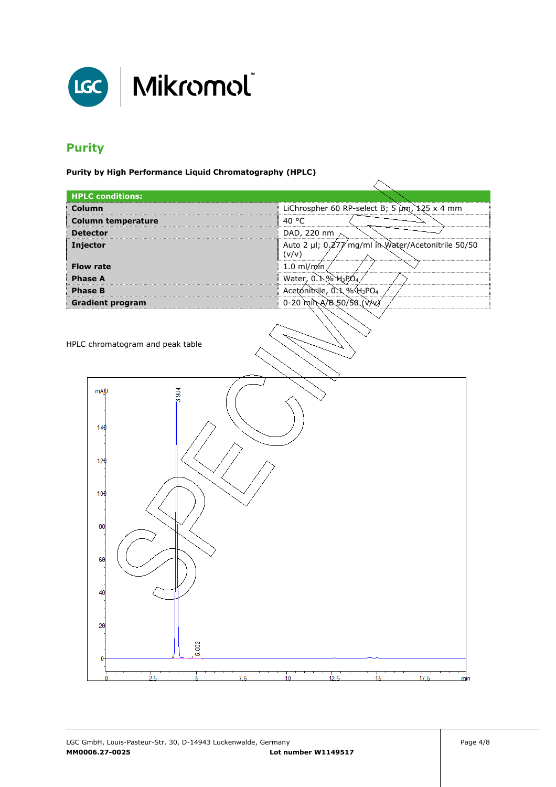

### **Purity**

**Purity by High Performance Liquid Chromatography (HPLC)** 

| <b>HPLC conditions:</b>          |                                                             |  |  |
|----------------------------------|-------------------------------------------------------------|--|--|
| Column                           | LiChrospher 60 RP-select B; 5 µm, 125 x 4 mm                |  |  |
| <b>Column temperature</b>        | 40 °C                                                       |  |  |
| <b>Detector</b>                  | DAD, 220 nm                                                 |  |  |
| Injector                         | Auto 2 µl; 0,277/mg/ml in Water/Acetonitrile 50/50<br>(v/v) |  |  |
| <b>Flow rate</b>                 | 1.0 ml/m $(n)$                                              |  |  |
| <b>Phase A</b>                   | Water, 0.1% H3PO4                                           |  |  |
| <b>Phase B</b>                   | Acetonitrile, 0.1 %H3PO4                                    |  |  |
| <b>Gradient program</b>          | $0-20$ min A/B 50/50 ( $\sqrt{V}$ )                         |  |  |
| HPLC chromatogram and peak table |                                                             |  |  |
| $\frac{3}{90}$<br>mAU            |                                                             |  |  |
|                                  |                                                             |  |  |
| 140                              |                                                             |  |  |
|                                  |                                                             |  |  |
| 120                              |                                                             |  |  |
|                                  |                                                             |  |  |
|                                  |                                                             |  |  |
| 100                              |                                                             |  |  |
|                                  |                                                             |  |  |
| 80                               |                                                             |  |  |
|                                  |                                                             |  |  |
|                                  |                                                             |  |  |
| 60                               |                                                             |  |  |
|                                  |                                                             |  |  |
|                                  |                                                             |  |  |
| 40                               |                                                             |  |  |
|                                  |                                                             |  |  |
| 20                               |                                                             |  |  |
|                                  |                                                             |  |  |
| 5.002                            |                                                             |  |  |
| 0                                |                                                             |  |  |
| $\frac{1}{25}$<br>5              | 7.5<br>12.5<br>17.5<br>15<br>10<br><u>min</u>               |  |  |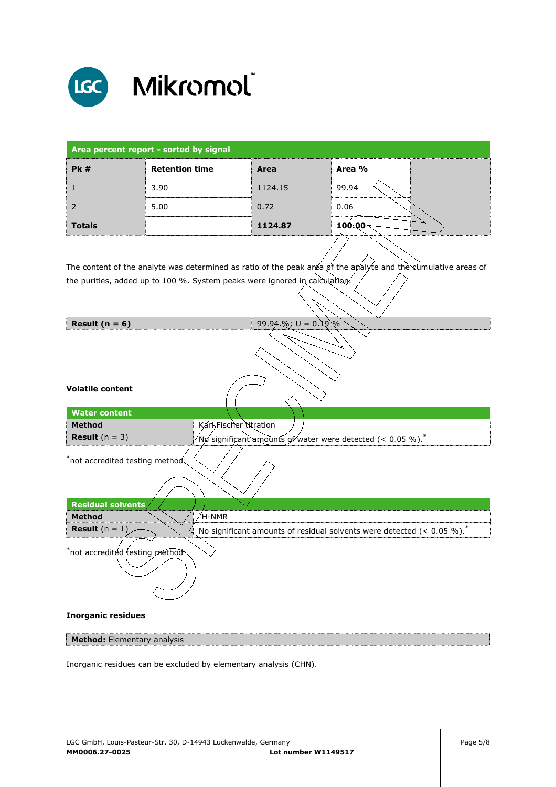

| Area percent report - sorted by signal |                       |         |                                        |  |
|----------------------------------------|-----------------------|---------|----------------------------------------|--|
| <b>Pk</b> #                            | <b>Retention time</b> | Area    | Area %                                 |  |
|                                        | 3.90                  | 1124.15 | 99.94                                  |  |
|                                        | 5.00                  | 0.72    | 0.06                                   |  |
| <b>Totals</b>                          |                       | 1124.87 | nde de communes en communications en c |  |

The content of the analyte was determined as ratio of the peak area of the analyte and the cumulative areas of the purities, added up to 100 %. System peaks were ignored in calculation.

| Result $(n = 6)$                   | 99.94%; $U = 0.19\%$                                                                   |
|------------------------------------|----------------------------------------------------------------------------------------|
| <b>Volatile content</b>            |                                                                                        |
|                                    |                                                                                        |
| <b>Water content</b>               |                                                                                        |
| <b>Method</b>                      | Karl Fischer titration                                                                 |
| <b>Result</b> $(n = 3)$            | Nø significant amounts of water were detected (< 0.05 %).                              |
| $*$ not accredited testing method  |                                                                                        |
| <b>Residual solvents</b>           |                                                                                        |
| <b>Method</b>                      | $\n  1H-NMR$                                                                           |
| <b>Result</b> $(n = 1)$            | No significant amounts of residual solvents were detected (< $0.05 \%$ ). <sup>*</sup> |
| $^*$ not accredited resting method |                                                                                        |
| <b>Inorganic residues</b>          |                                                                                        |
| Method: Elementary analysis        |                                                                                        |

Inorganic residues can be excluded by elementary analysis (CHN).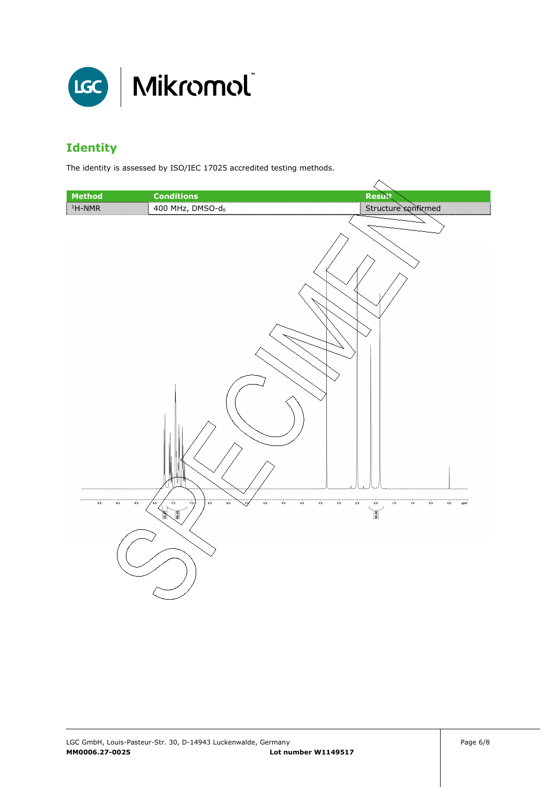

## **Identity**

The identity is assessed by ISO/IEC 17025 accredited testing methods.

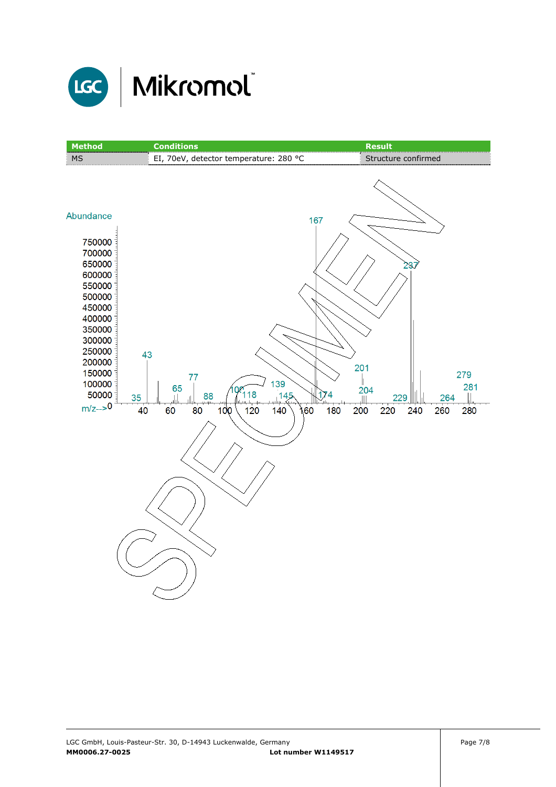

| <b>Method</b>                                                                                                                                                                               | <b>Conditions</b>                                                                                                      | <b>Result</b>                                                                                       |
|---------------------------------------------------------------------------------------------------------------------------------------------------------------------------------------------|------------------------------------------------------------------------------------------------------------------------|-----------------------------------------------------------------------------------------------------|
| MS                                                                                                                                                                                          | EI, 70eV, detector temperature: 280 °C                                                                                 | Structure confirmed                                                                                 |
| Abundance<br>750000<br>700000<br>650000<br>600000<br>550000<br>500000<br>450000<br>400000<br>350000<br>300000<br>250000<br>200000<br>150000<br>100000<br>50000<br>35<br>$m/z \rightarrow 0$ | 167<br>43<br>77<br>139<br>65<br><b>QC</b><br>118<br>145<br>88<br>جلجسينة<br>40<br>60<br>80<br>100<br>120<br>160<br>140 | 237<br>201<br>279<br>281<br>204<br>174<br>229<br>264<br>Ш<br>180<br>260<br>200<br>220<br>240<br>280 |
|                                                                                                                                                                                             |                                                                                                                        |                                                                                                     |